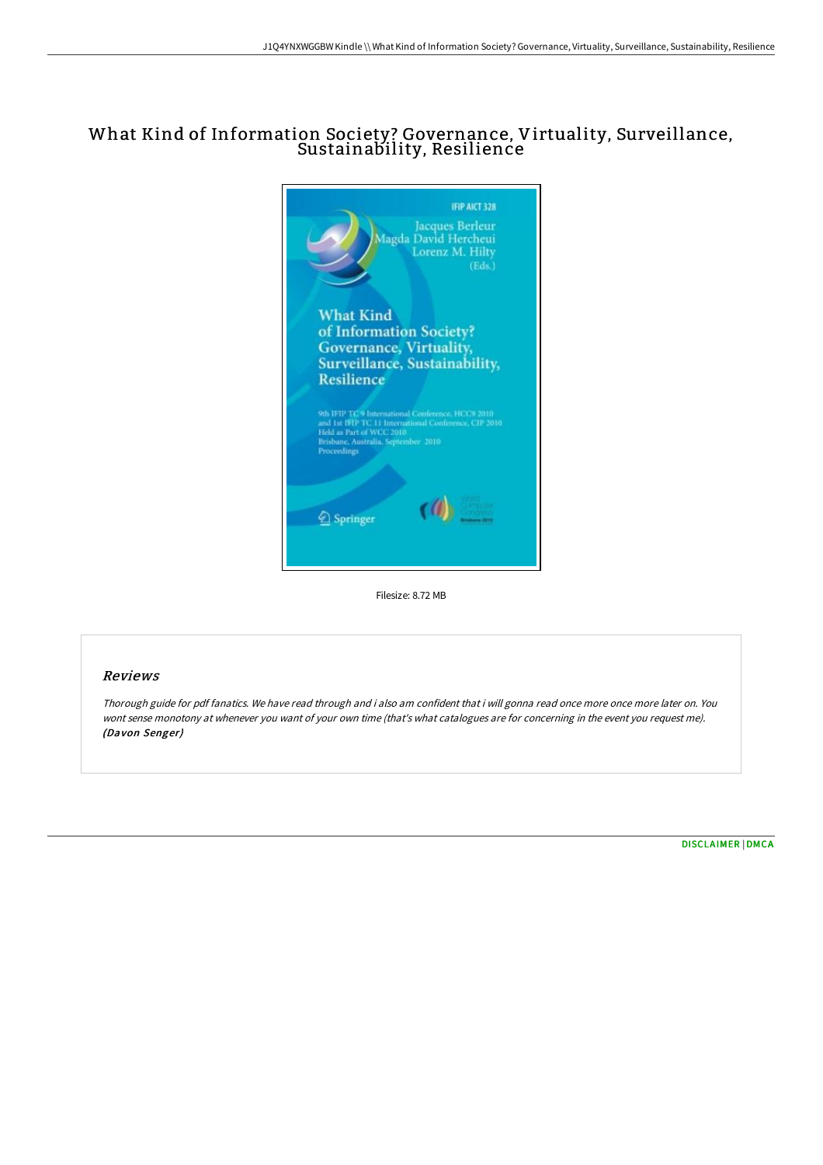## What Kind of Information Society? Governance, Virtuality, Surveillance, Sustainability, Resilience



Filesize: 8.72 MB

## Reviews

Thorough guide for pdf fanatics. We have read through and i also am confident that i will gonna read once more once more later on. You wont sense monotony at whenever you want of your own time (that's what catalogues are for concerning in the event you request me). (Davon Senger)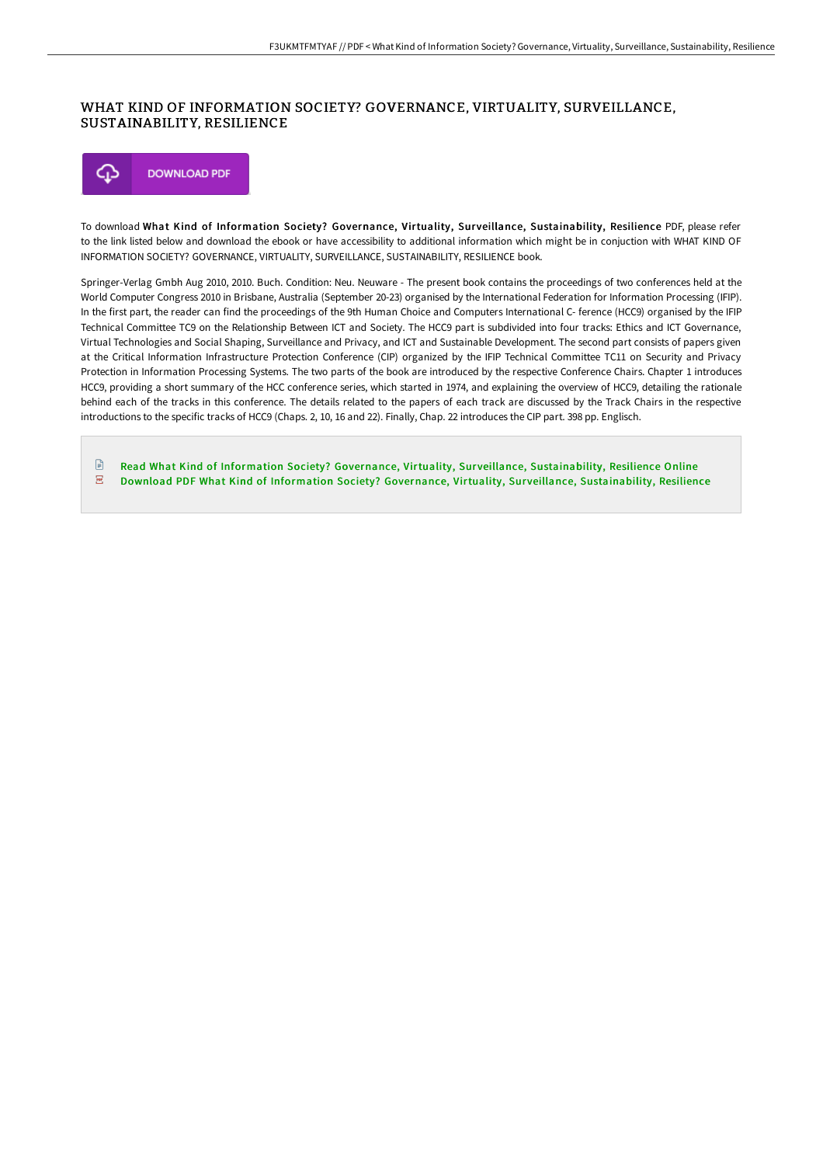## WHAT KIND OF INFORMATION SOCIETY? GOVERNANCE, VIRTUALITY, SURVEILLANCE, SUSTAINABILITY, RESILIENCE



To download What Kind of Information Society? Governance, Virtuality, Surveillance, Sustainability, Resilience PDF, please refer to the link listed below and download the ebook or have accessibility to additional information which might be in conjuction with WHAT KIND OF INFORMATION SOCIETY? GOVERNANCE, VIRTUALITY, SURVEILLANCE, SUSTAINABILITY, RESILIENCE book.

Springer-Verlag Gmbh Aug 2010, 2010. Buch. Condition: Neu. Neuware - The present book contains the proceedings of two conferences held at the World Computer Congress 2010 in Brisbane, Australia (September 20-23) organised by the International Federation for Information Processing (IFIP). In the first part, the reader can find the proceedings of the 9th Human Choice and Computers International C- ference (HCC9) organised by the IFIP Technical Committee TC9 on the Relationship Between ICT and Society. The HCC9 part is subdivided into four tracks: Ethics and ICT Governance, Virtual Technologies and Social Shaping, Surveillance and Privacy, and ICT and Sustainable Development. The second part consists of papers given at the Critical Information Infrastructure Protection Conference (CIP) organized by the IFIP Technical Committee TC11 on Security and Privacy Protection in Information Processing Systems. The two parts of the book are introduced by the respective Conference Chairs. Chapter 1 introduces HCC9, providing a short summary of the HCC conference series, which started in 1974, and explaining the overview of HCC9, detailing the rationale behind each of the tracks in this conference. The details related to the papers of each track are discussed by the Track Chairs in the respective introductions to the specific tracks of HCC9 (Chaps. 2, 10, 16 and 22). Finally, Chap. 22 introduces the CIP part. 398 pp. Englisch.

Read What Kind of Information Society? Governance, Virtuality, Sur veillance, [Sustainability,](http://albedo.media/what-kind-of-information-society-governance-virt.html) Resilience Online  $\overline{\rm \bf PDF}$ Download PDF What Kind of Information Society? Governance, Virtuality, Surveillance, [Sustainability,](http://albedo.media/what-kind-of-information-society-governance-virt.html) Resilience